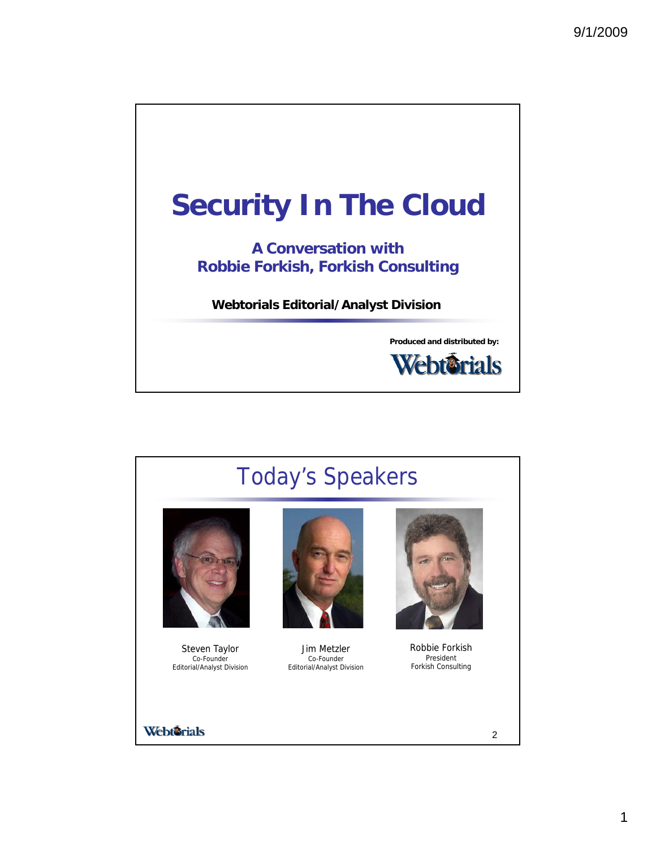



1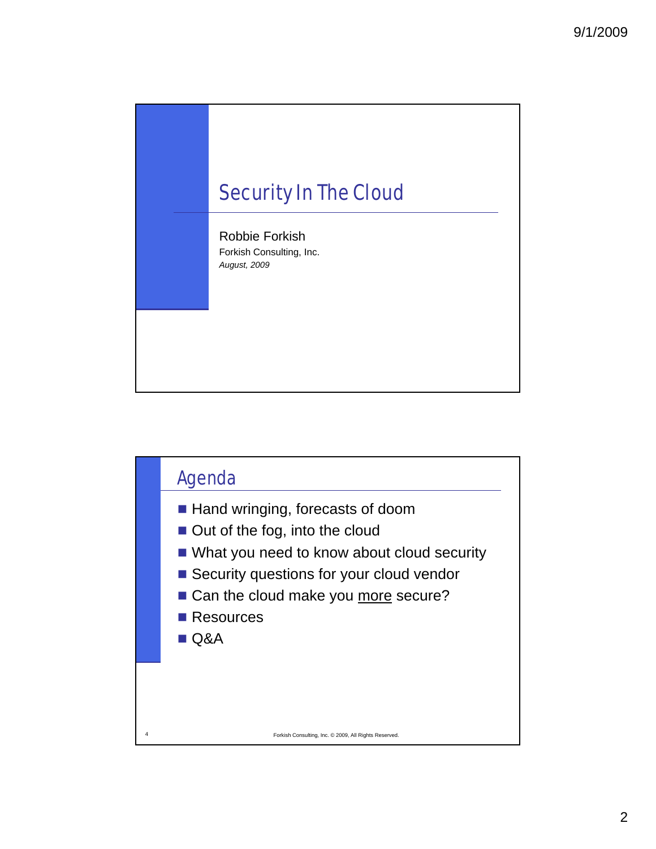

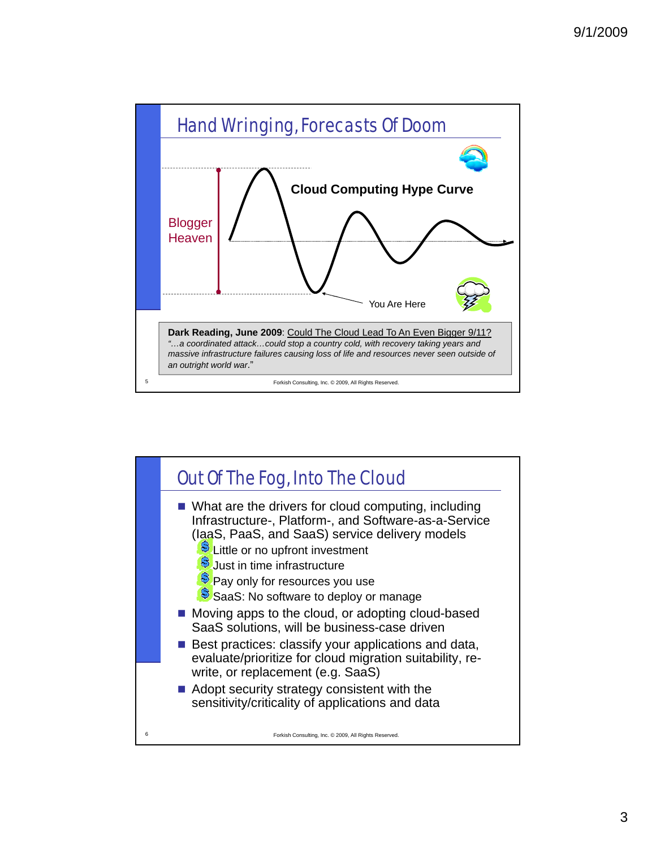

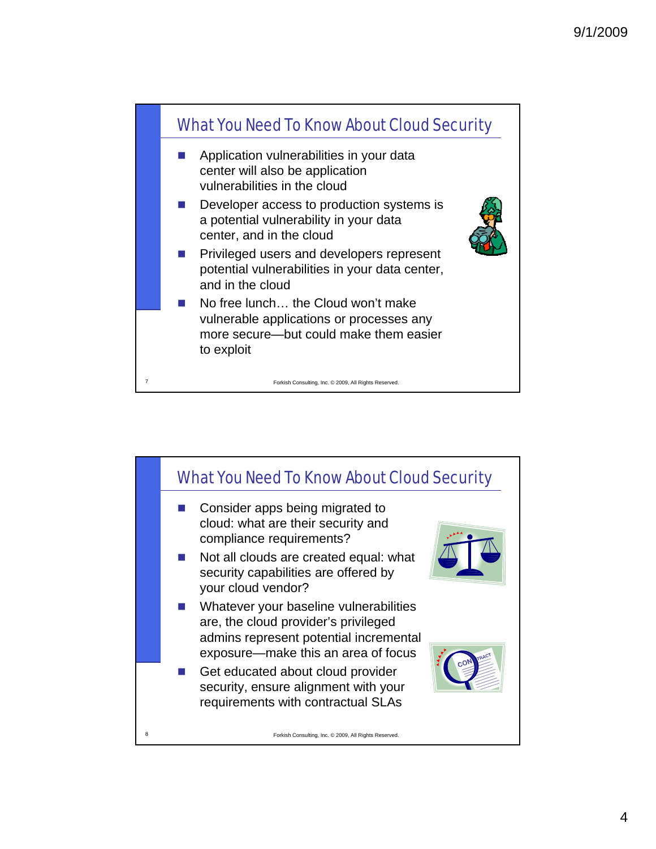

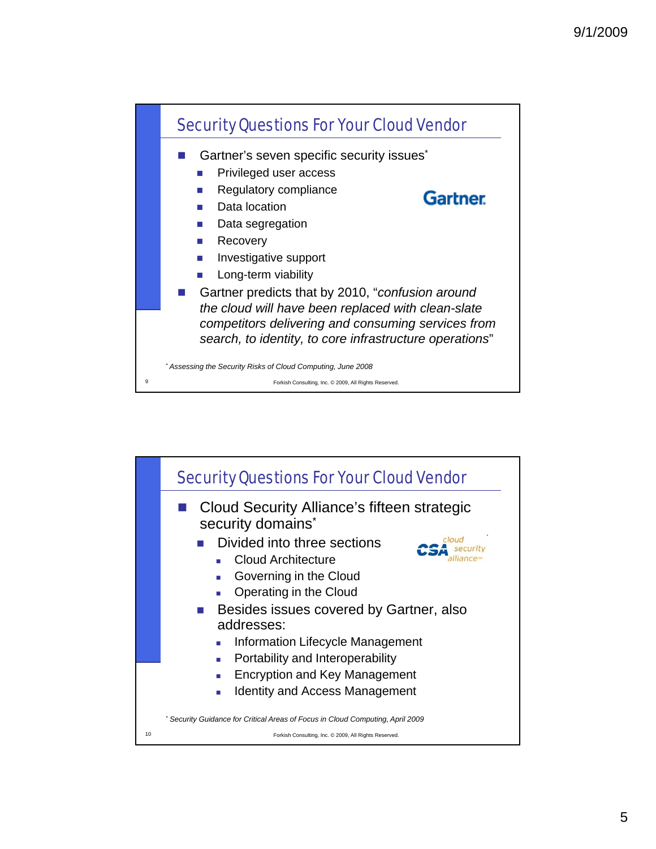

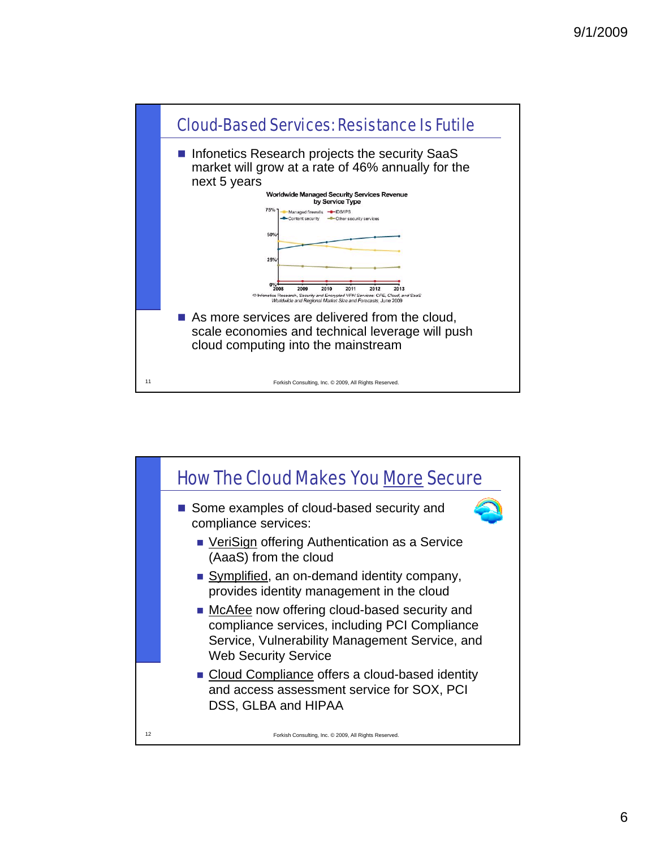

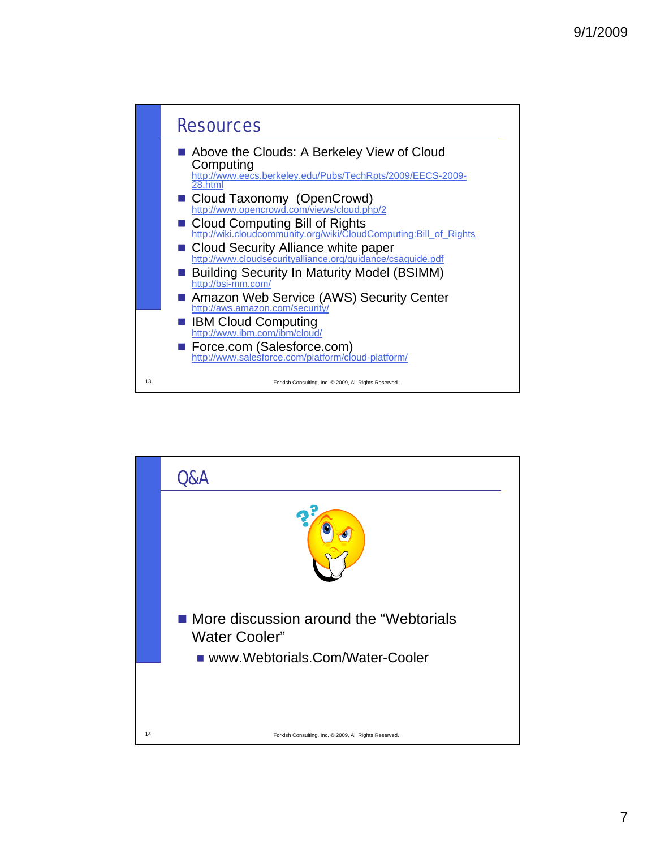